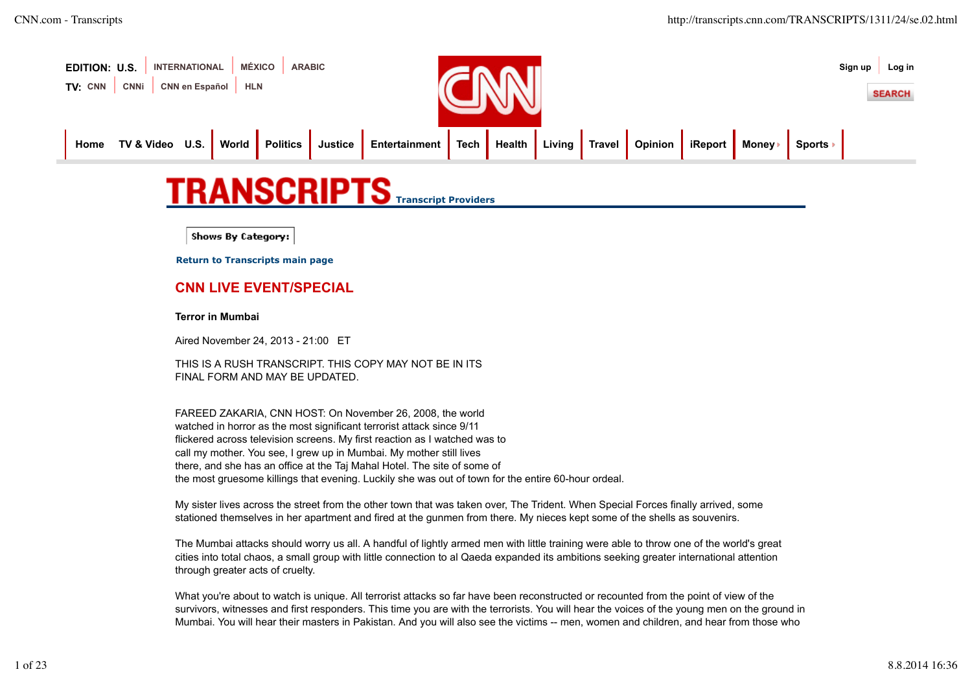

# TRANSCRIPT **Transcript Providers**

Shows By Category:

**Return to Transcripts main page**

# **CNN LIVE EVENT/SPECIAL**

#### **Terror in Mumbai**

Aired November 24, 2013 - 21:00 ET

THIS IS A RUSH TRANSCRIPT. THIS COPY MAY NOT BE IN ITS FINAL FORM AND MAY BE UPDATED.

FAREED ZAKARIA, CNN HOST: On November 26, 2008, the world watched in horror as the most significant terrorist attack since 9/11 flickered across television screens. My first reaction as I watched was to call my mother. You see, I grew up in Mumbai. My mother still lives there, and she has an office at the Taj Mahal Hotel. The site of some of the most gruesome killings that evening. Luckily she was out of town for the entire 60-hour ordeal.

My sister lives across the street from the other town that was taken over, The Trident. When Special Forces finally arrived, some stationed themselves in her apartment and fired at the gunmen from there. My nieces kept some of the shells as souvenirs.

The Mumbai attacks should worry us all. A handful of lightly armed men with little training were able to throw one of the world's great cities into total chaos, a small group with little connection to al Qaeda expanded its ambitions seeking greater international attention through greater acts of cruelty.

What you're about to watch is unique. All terrorist attacks so far have been reconstructed or recounted from the point of view of the survivors, witnesses and first responders. This time you are with the terrorists. You will hear the voices of the young men on the ground in Mumbai. You will hear their masters in Pakistan. And you will also see the victims -- men, women and children, and hear from those who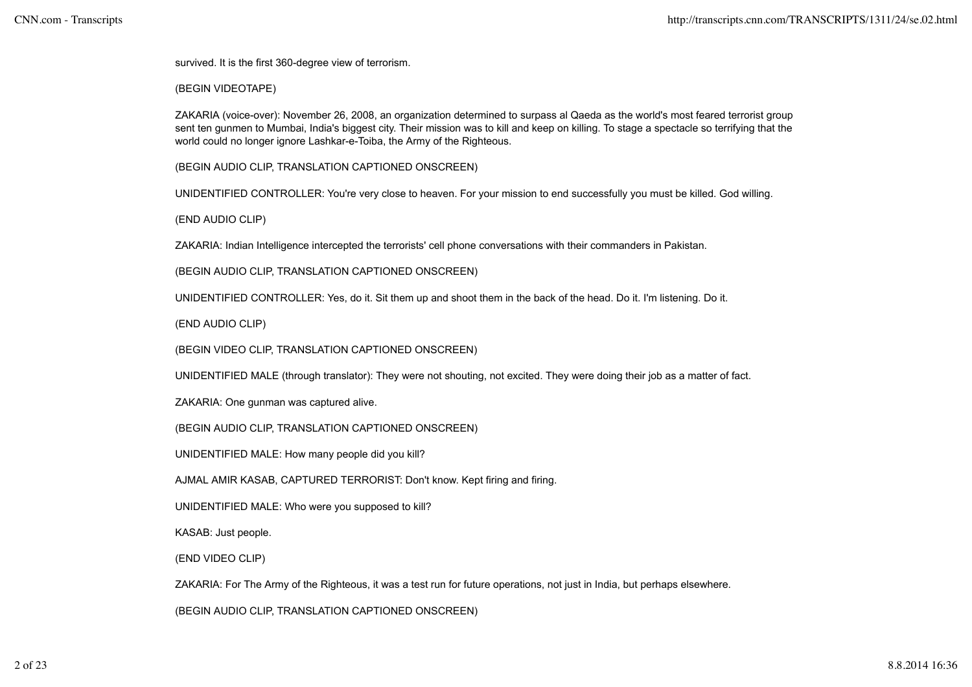survived. It is the first 360-degree view of terrorism.

(BEGIN VIDEOTAPE)

ZAKARIA (voice-over): November 26, 2008, an organization determined to surpass al Qaeda as the world's most feared terrorist group sent ten gunmen to Mumbai, India's biggest city. Their mission was to kill and keep on killing. To stage a spectacle so terrifying that the world could no longer ignore Lashkar-e-Toiba, the Army of the Righteous.

(BEGIN AUDIO CLIP, TRANSLATION CAPTIONED ONSCREEN)

UNIDENTIFIED CONTROLLER: You're very close to heaven. For your mission to end successfully you must be killed. God willing.

(END AUDIO CLIP)

ZAKARIA: Indian Intelligence intercepted the terrorists' cell phone conversations with their commanders in Pakistan.

(BEGIN AUDIO CLIP, TRANSLATION CAPTIONED ONSCREEN)

UNIDENTIFIED CONTROLLER: Yes, do it. Sit them up and shoot them in the back of the head. Do it. I'm listening. Do it.

(END AUDIO CLIP)

(BEGIN VIDEO CLIP, TRANSLATION CAPTIONED ONSCREEN)

UNIDENTIFIED MALE (through translator): They were not shouting, not excited. They were doing their job as a matter of fact.

ZAKARIA: One gunman was captured alive.

(BEGIN AUDIO CLIP, TRANSLATION CAPTIONED ONSCREEN)

UNIDENTIFIED MALE: How many people did you kill?

AJMAL AMIR KASAB, CAPTURED TERRORIST: Don't know. Kept firing and firing.

UNIDENTIFIED MALE: Who were you supposed to kill?

KASAB: Just people.

(END VIDEO CLIP)

ZAKARIA: For The Army of the Righteous, it was a test run for future operations, not just in India, but perhaps elsewhere.

(BEGIN AUDIO CLIP, TRANSLATION CAPTIONED ONSCREEN)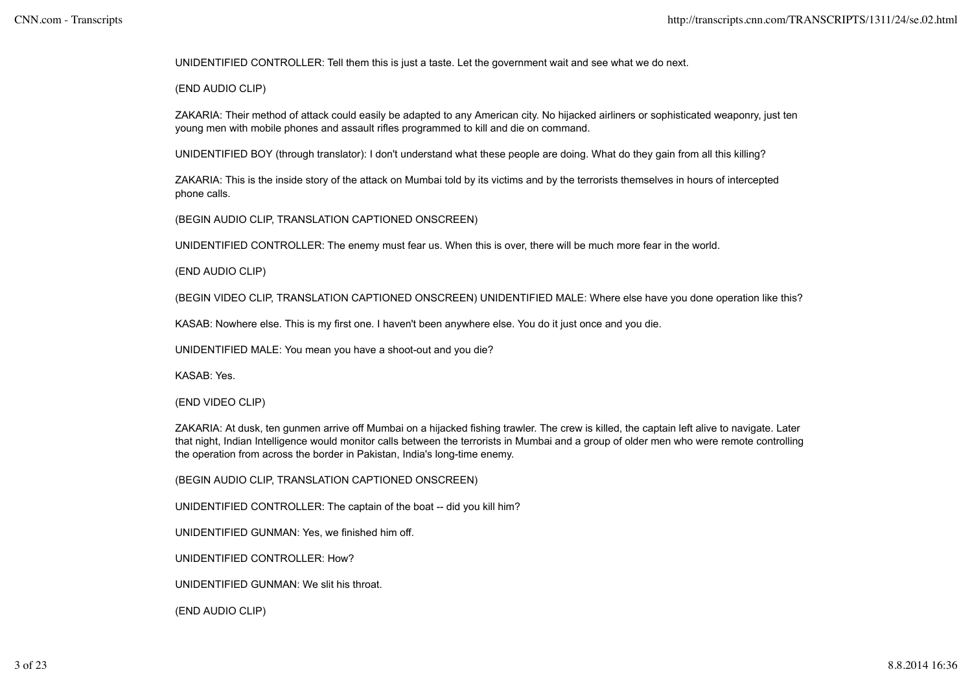UNIDENTIFIED CONTROLLER: Tell them this is just a taste. Let the government wait and see what we do next.

(END AUDIO CLIP)

ZAKARIA: Their method of attack could easily be adapted to any American city. No hijacked airliners or sophisticated weaponry, just ten young men with mobile phones and assault rifles programmed to kill and die on command.

UNIDENTIFIED BOY (through translator): I don't understand what these people are doing. What do they gain from all this killing?

ZAKARIA: This is the inside story of the attack on Mumbai told by its victims and by the terrorists themselves in hours of intercepted phone calls.

(BEGIN AUDIO CLIP, TRANSLATION CAPTIONED ONSCREEN)

UNIDENTIFIED CONTROLLER: The enemy must fear us. When this is over, there will be much more fear in the world.

(END AUDIO CLIP)

(BEGIN VIDEO CLIP, TRANSLATION CAPTIONED ONSCREEN) UNIDENTIFIED MALE: Where else have you done operation like this?

KASAB: Nowhere else. This is my first one. I haven't been anywhere else. You do it just once and you die.

UNIDENTIFIED MALE: You mean you have a shoot-out and you die?

KASAB: Yes.

(END VIDEO CLIP)

ZAKARIA: At dusk, ten gunmen arrive off Mumbai on a hijacked fishing trawler. The crew is killed, the captain left alive to navigate. Later that night, Indian Intelligence would monitor calls between the terrorists in Mumbai and a group of older men who were remote controlling the operation from across the border in Pakistan, India's long-time enemy.

(BEGIN AUDIO CLIP, TRANSLATION CAPTIONED ONSCREEN)

UNIDENTIFIED CONTROLLER: The captain of the boat -- did you kill him?

UNIDENTIFIED GUNMAN: Yes, we finished him off.

UNIDENTIFIED CONTROLLER: How?

UNIDENTIFIED GUNMAN: We slit his throat.

(END AUDIO CLIP)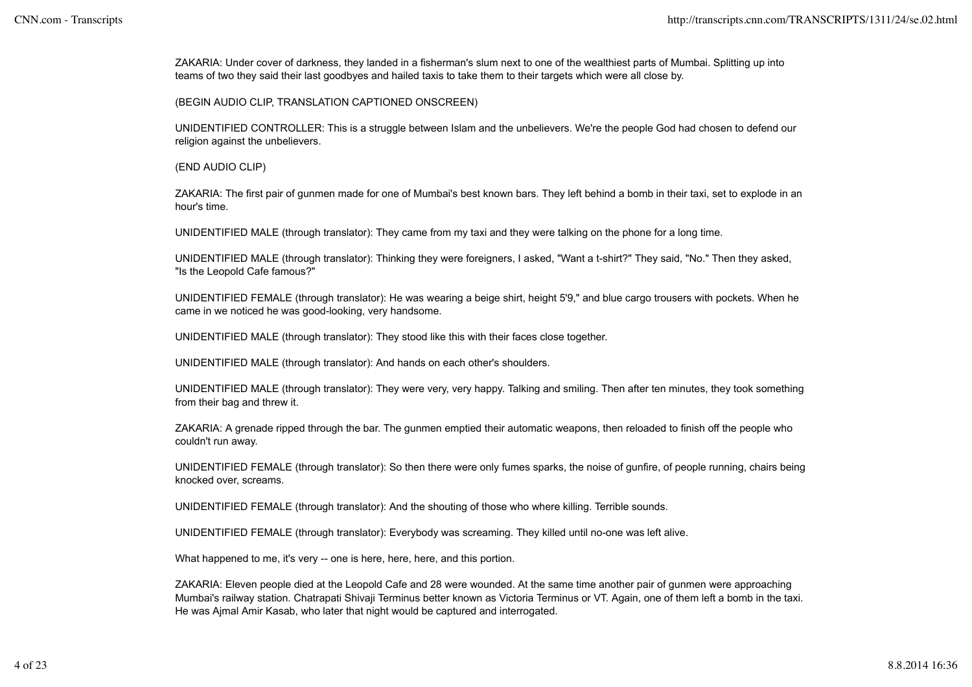ZAKARIA: Under cover of darkness, they landed in a fisherman's slum next to one of the wealthiest parts of Mumbai. Splitting up into teams of two they said their last goodbyes and hailed taxis to take them to their targets which were all close by.

(BEGIN AUDIO CLIP, TRANSLATION CAPTIONED ONSCREEN)

UNIDENTIFIED CONTROLLER: This is a struggle between Islam and the unbelievers. We're the people God had chosen to defend our religion against the unbelievers.

(END AUDIO CLIP)

ZAKARIA: The first pair of gunmen made for one of Mumbai's best known bars. They left behind a bomb in their taxi, set to explode in an hour's time.

UNIDENTIFIED MALE (through translator): They came from my taxi and they were talking on the phone for a long time.

UNIDENTIFIED MALE (through translator): Thinking they were foreigners, I asked, "Want a t-shirt?" They said, "No." Then they asked, "Is the Leopold Cafe famous?"

UNIDENTIFIED FEMALE (through translator): He was wearing a beige shirt, height 5'9," and blue cargo trousers with pockets. When he came in we noticed he was good-looking, very handsome.

UNIDENTIFIED MALE (through translator): They stood like this with their faces close together.

UNIDENTIFIED MALE (through translator): And hands on each other's shoulders.

UNIDENTIFIED MALE (through translator): They were very, very happy. Talking and smiling. Then after ten minutes, they took something from their bag and threw it.

ZAKARIA: A grenade ripped through the bar. The gunmen emptied their automatic weapons, then reloaded to finish off the people who couldn't run away.

UNIDENTIFIED FEMALE (through translator): So then there were only fumes sparks, the noise of gunfire, of people running, chairs being knocked over, screams.

UNIDENTIFIED FEMALE (through translator): And the shouting of those who where killing. Terrible sounds.

UNIDENTIFIED FEMALE (through translator): Everybody was screaming. They killed until no-one was left alive.

What happened to me, it's very -- one is here, here, here, and this portion.

ZAKARIA: Eleven people died at the Leopold Cafe and 28 were wounded. At the same time another pair of gunmen were approaching Mumbai's railway station. Chatrapati Shivaji Terminus better known as Victoria Terminus or VT. Again, one of them left a bomb in the taxi. He was Ajmal Amir Kasab, who later that night would be captured and interrogated.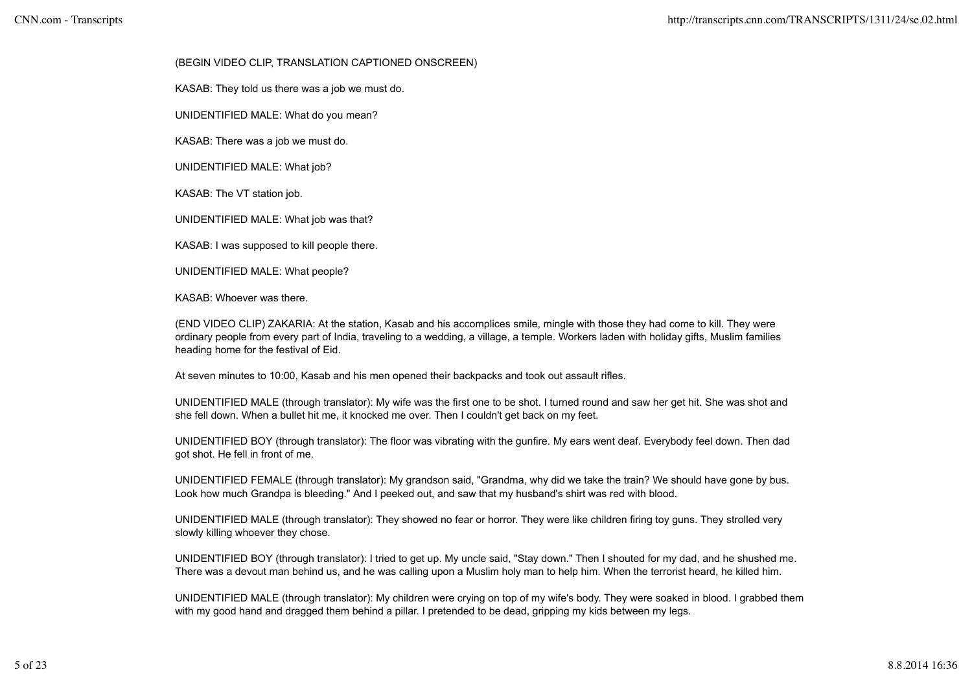#### (BEGIN VIDEO CLIP, TRANSLATION CAPTIONED ONSCREEN)

KASAB: They told us there was a job we must do.

UNIDENTIFIED MALE: What do you mean?

KASAB: There was a job we must do.

UNIDENTIFIED MALE: What job?

KASAB: The VT station job.

UNIDENTIFIED MALE: What job was that?

KASAB: I was supposed to kill people there.

UNIDENTIFIED MALE: What people?

KASAB: Whoever was there.

(END VIDEO CLIP) ZAKARIA: At the station, Kasab and his accomplices smile, mingle with those they had come to kill. They were ordinary people from every part of India, traveling to a wedding, a village, a temple. Workers laden with holiday gifts, Muslim families heading home for the festival of Eid.

At seven minutes to 10:00, Kasab and his men opened their backpacks and took out assault rifles.

UNIDENTIFIED MALE (through translator): My wife was the first one to be shot. I turned round and saw her get hit. She was shot and she fell down. When a bullet hit me, it knocked me over. Then I couldn't get back on my feet.

UNIDENTIFIED BOY (through translator): The floor was vibrating with the gunfire. My ears went deaf. Everybody feel down. Then dad got shot. He fell in front of me.

UNIDENTIFIED FEMALE (through translator): My grandson said, "Grandma, why did we take the train? We should have gone by bus. Look how much Grandpa is bleeding." And I peeked out, and saw that my husband's shirt was red with blood.

UNIDENTIFIED MALE (through translator): They showed no fear or horror. They were like children firing toy guns. They strolled very slowly killing whoever they chose.

UNIDENTIFIED BOY (through translator): I tried to get up. My uncle said, "Stay down." Then I shouted for my dad, and he shushed me. There was a devout man behind us, and he was calling upon a Muslim holy man to help him. When the terrorist heard, he killed him.

UNIDENTIFIED MALE (through translator): My children were crying on top of my wife's body. They were soaked in blood. I grabbed them with my good hand and dragged them behind a pillar. I pretended to be dead, gripping my kids between my legs.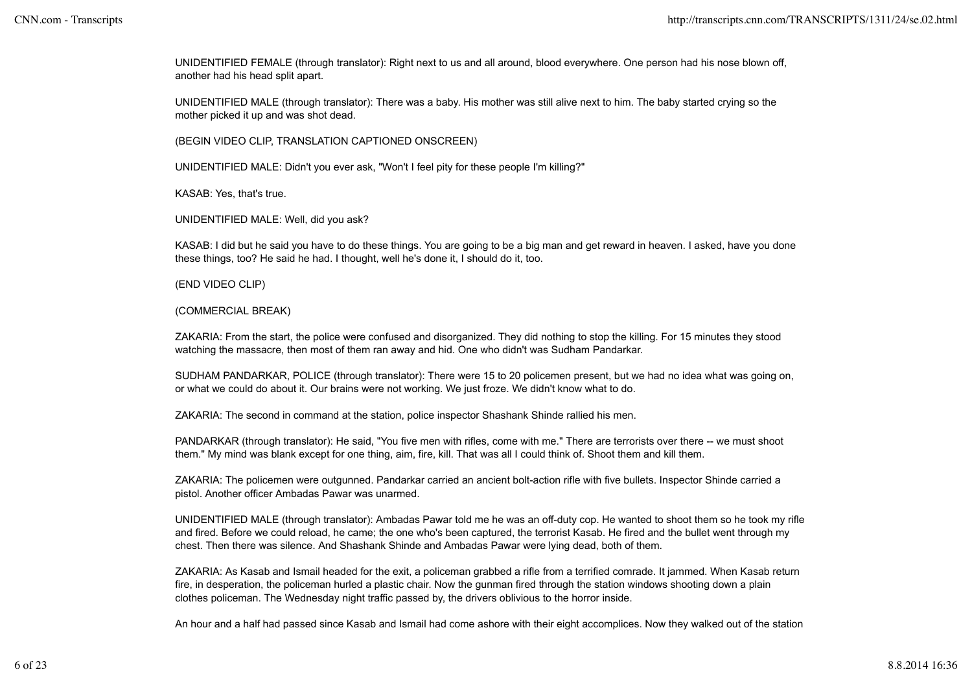UNIDENTIFIED FEMALE (through translator): Right next to us and all around, blood everywhere. One person had his nose blown off, another had his head split apart.

UNIDENTIFIED MALE (through translator): There was a baby. His mother was still alive next to him. The baby started crying so the mother picked it up and was shot dead.

(BEGIN VIDEO CLIP, TRANSLATION CAPTIONED ONSCREEN)

UNIDENTIFIED MALE: Didn't you ever ask, "Won't I feel pity for these people I'm killing?"

KASAB: Yes, that's true.

UNIDENTIFIED MALE: Well, did you ask?

KASAB: I did but he said you have to do these things. You are going to be a big man and get reward in heaven. I asked, have you done these things, too? He said he had. I thought, well he's done it, I should do it, too.

(END VIDEO CLIP)

(COMMERCIAL BREAK)

ZAKARIA: From the start, the police were confused and disorganized. They did nothing to stop the killing. For 15 minutes they stood watching the massacre, then most of them ran away and hid. One who didn't was Sudham Pandarkar.

SUDHAM PANDARKAR, POLICE (through translator): There were 15 to 20 policemen present, but we had no idea what was going on, or what we could do about it. Our brains were not working. We just froze. We didn't know what to do.

ZAKARIA: The second in command at the station, police inspector Shashank Shinde rallied his men.

PANDARKAR (through translator): He said, "You five men with rifles, come with me." There are terrorists over there -- we must shoot them." My mind was blank except for one thing, aim, fire, kill. That was all I could think of. Shoot them and kill them.

ZAKARIA: The policemen were outgunned. Pandarkar carried an ancient bolt-action rifle with five bullets. Inspector Shinde carried a pistol. Another officer Ambadas Pawar was unarmed.

UNIDENTIFIED MALE (through translator): Ambadas Pawar told me he was an off-duty cop. He wanted to shoot them so he took my rifle and fired. Before we could reload, he came; the one who's been captured, the terrorist Kasab. He fired and the bullet went through my chest. Then there was silence. And Shashank Shinde and Ambadas Pawar were lying dead, both of them.

ZAKARIA: As Kasab and Ismail headed for the exit, a policeman grabbed a rifle from a terrified comrade. It jammed. When Kasab return fire, in desperation, the policeman hurled a plastic chair. Now the gunman fired through the station windows shooting down a plain clothes policeman. The Wednesday night traffic passed by, the drivers oblivious to the horror inside.

An hour and a half had passed since Kasab and Ismail had come ashore with their eight accomplices. Now they walked out of the station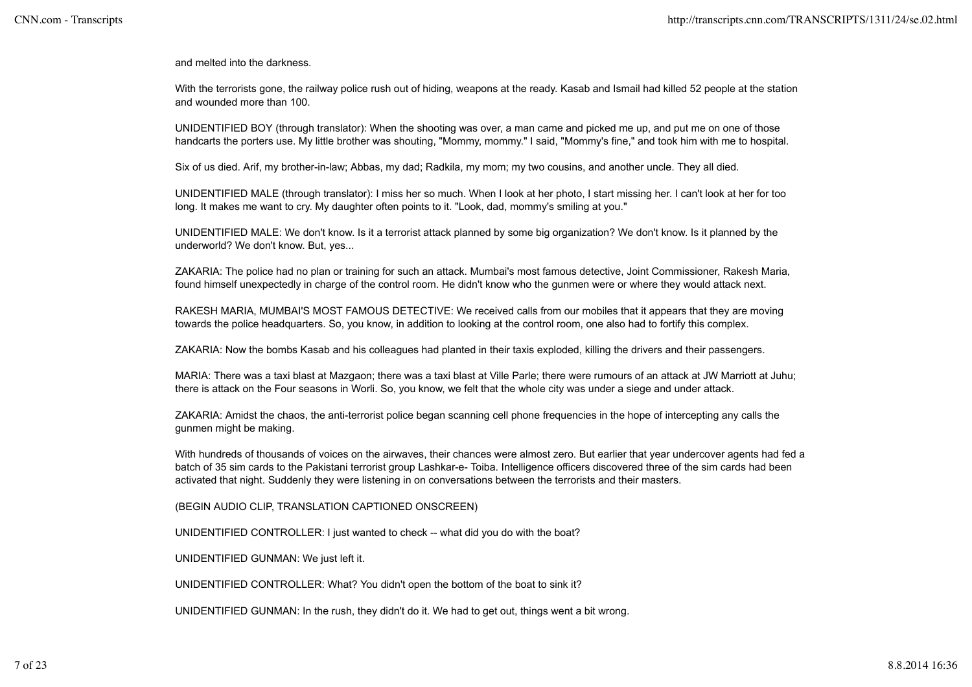and melted into the darkness.

With the terrorists gone, the railway police rush out of hiding, weapons at the ready. Kasab and Ismail had killed 52 people at the station and wounded more than 100.

UNIDENTIFIED BOY (through translator): When the shooting was over, a man came and picked me up, and put me on one of those handcarts the porters use. My little brother was shouting, "Mommy, mommy." I said, "Mommy's fine," and took him with me to hospital.

Six of us died. Arif, my brother-in-law; Abbas, my dad; Radkila, my mom; my two cousins, and another uncle. They all died.

UNIDENTIFIED MALE (through translator): I miss her so much. When I look at her photo, I start missing her. I can't look at her for too long. It makes me want to cry. My daughter often points to it. "Look, dad, mommy's smiling at you."

UNIDENTIFIED MALE: We don't know. Is it a terrorist attack planned by some big organization? We don't know. Is it planned by the underworld? We don't know. But, yes...

ZAKARIA: The police had no plan or training for such an attack. Mumbai's most famous detective, Joint Commissioner, Rakesh Maria, found himself unexpectedly in charge of the control room. He didn't know who the gunmen were or where they would attack next.

RAKESH MARIA, MUMBAI'S MOST FAMOUS DETECTIVE: We received calls from our mobiles that it appears that they are moving towards the police headquarters. So, you know, in addition to looking at the control room, one also had to fortify this complex.

ZAKARIA: Now the bombs Kasab and his colleagues had planted in their taxis exploded, killing the drivers and their passengers.

MARIA: There was a taxi blast at Mazgaon; there was a taxi blast at Ville Parle; there were rumours of an attack at JW Marriott at Juhu; there is attack on the Four seasons in Worli. So, you know, we felt that the whole city was under a siege and under attack.

ZAKARIA: Amidst the chaos, the anti-terrorist police began scanning cell phone frequencies in the hope of intercepting any calls the gunmen might be making.

With hundreds of thousands of voices on the airwaves, their chances were almost zero. But earlier that year undercover agents had fed a batch of 35 sim cards to the Pakistani terrorist group Lashkar-e- Toiba. Intelligence officers discovered three of the sim cards had been activated that night. Suddenly they were listening in on conversations between the terrorists and their masters.

(BEGIN AUDIO CLIP, TRANSLATION CAPTIONED ONSCREEN)

UNIDENTIFIED CONTROLLER: I just wanted to check -- what did you do with the boat?

UNIDENTIFIED GUNMAN: We just left it.

UNIDENTIFIED CONTROLLER: What? You didn't open the bottom of the boat to sink it?

UNIDENTIFIED GUNMAN: In the rush, they didn't do it. We had to get out, things went a bit wrong.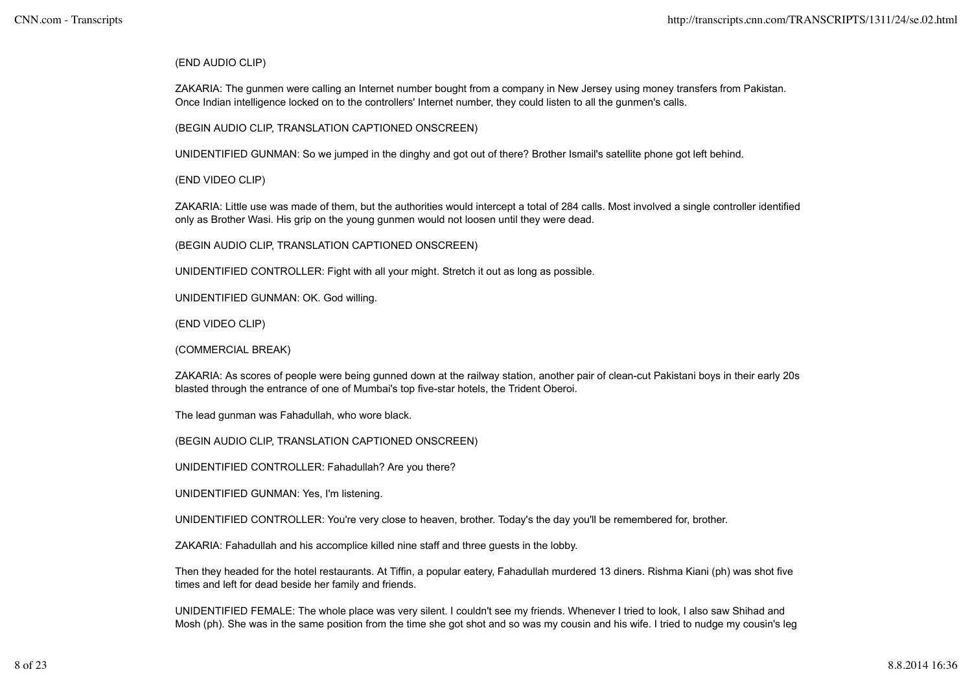## (END AUDIO CLIP)

ZAKARIA: The gunmen were calling an Internet number bought from a company in New Jersey using money transfers from Pakistan. Once Indian intelligence locked on to the controllers' Internet number, they could listen to all the gunmen's calls.

(BEGIN AUDIO CLIP, TRANSLATION CAPTIONED ONSCREEN)

UNIDENTIFIED GUNMAN: So we jumped in the dinghy and got out of there? Brother Ismail's satellite phone got left behind.

(END VIDEO CLIP)

ZAKARIA: Little use was made of them, but the authorities would intercept a total of 284 calls. Most involved a single controller identified only as Brother Wasi. His grip on the young gunmen would not loosen until they were dead.

(BEGIN AUDIO CLIP, TRANSLATION CAPTIONED ONSCREEN)

UNIDENTIFIED CONTROLLER: Fight with all your might. Stretch it out as long as possible.

UNIDENTIFIED GUNMAN: OK. God willing.

(END VIDEO CLIP)

(COMMERCIAL BREAK)

ZAKARIA: As scores of people were being gunned down at the railway station, another pair of clean-cut Pakistani boys in their early 20s blasted through the entrance of one of Mumbai's top five-star hotels, the Trident Oberoi.

The lead gunman was Fahadullah, who wore black.

(BEGIN AUDIO CLIP, TRANSLATION CAPTIONED ONSCREEN)

UNIDENTIFIED CONTROLLER: Fahadullah? Are you there?

UNIDENTIFIED GUNMAN: Yes, I'm listening.

UNIDENTIFIED CONTROLLER: You're very close to heaven, brother. Today's the day you'll be remembered for, brother.

ZAKARIA: Fahadullah and his accomplice killed nine staff and three guests in the lobby.

Then they headed for the hotel restaurants. At Tiffin, a popular eatery, Fahadullah murdered 13 diners. Rishma Kiani (ph) was shot five times and left for dead beside her family and friends.

UNIDENTIFIED FEMALE: The whole place was very silent. I couldn't see my friends. Whenever I tried to look, I also saw Shihad and Mosh (ph). She was in the same position from the time she got shot and so was my cousin and his wife. I tried to nudge my cousin's leg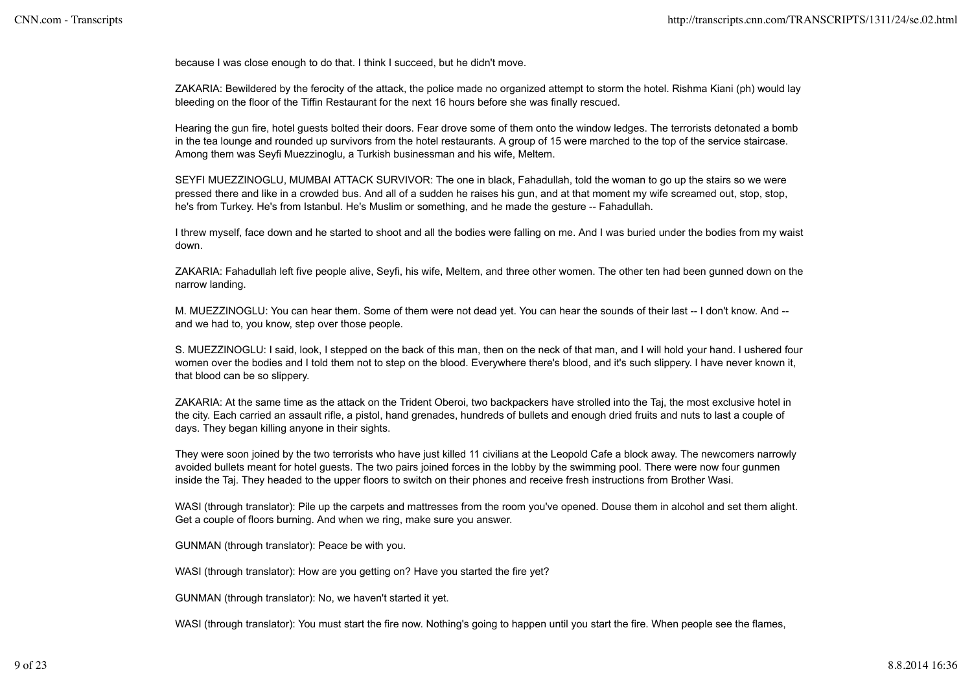because I was close enough to do that. I think I succeed, but he didn't move.

ZAKARIA: Bewildered by the ferocity of the attack, the police made no organized attempt to storm the hotel. Rishma Kiani (ph) would lay bleeding on the floor of the Tiffin Restaurant for the next 16 hours before she was finally rescued.

Hearing the gun fire, hotel guests bolted their doors. Fear drove some of them onto the window ledges. The terrorists detonated a bomb in the tea lounge and rounded up survivors from the hotel restaurants. A group of 15 were marched to the top of the service staircase. Among them was Seyfi Muezzinoglu, a Turkish businessman and his wife, Meltem.

SEYFI MUEZZINOGLU, MUMBAI ATTACK SURVIVOR: The one in black, Fahadullah, told the woman to go up the stairs so we were pressed there and like in a crowded bus. And all of a sudden he raises his gun, and at that moment my wife screamed out, stop, stop, he's from Turkey. He's from Istanbul. He's Muslim or something, and he made the gesture -- Fahadullah.

I threw myself, face down and he started to shoot and all the bodies were falling on me. And I was buried under the bodies from my waist down.

ZAKARIA: Fahadullah left five people alive, Seyfi, his wife, Meltem, and three other women. The other ten had been gunned down on the narrow landing.

M. MUEZZINOGLU: You can hear them. Some of them were not dead yet. You can hear the sounds of their last -- I don't know. And -and we had to, you know, step over those people.

S. MUEZZINOGLU: I said, look, I stepped on the back of this man, then on the neck of that man, and I will hold your hand. I ushered four women over the bodies and I told them not to step on the blood. Everywhere there's blood, and it's such slippery. I have never known it, that blood can be so slippery.

ZAKARIA: At the same time as the attack on the Trident Oberoi, two backpackers have strolled into the Taj, the most exclusive hotel in the city. Each carried an assault rifle, a pistol, hand grenades, hundreds of bullets and enough dried fruits and nuts to last a couple of days. They began killing anyone in their sights.

They were soon joined by the two terrorists who have just killed 11 civilians at the Leopold Cafe a block away. The newcomers narrowly avoided bullets meant for hotel guests. The two pairs joined forces in the lobby by the swimming pool. There were now four gunmen inside the Taj. They headed to the upper floors to switch on their phones and receive fresh instructions from Brother Wasi.

WASI (through translator): Pile up the carpets and mattresses from the room you've opened. Douse them in alcohol and set them alight. Get a couple of floors burning. And when we ring, make sure you answer.

GUNMAN (through translator): Peace be with you.

WASI (through translator): How are you getting on? Have you started the fire yet?

GUNMAN (through translator): No, we haven't started it yet.

WASI (through translator): You must start the fire now. Nothing's going to happen until you start the fire. When people see the flames,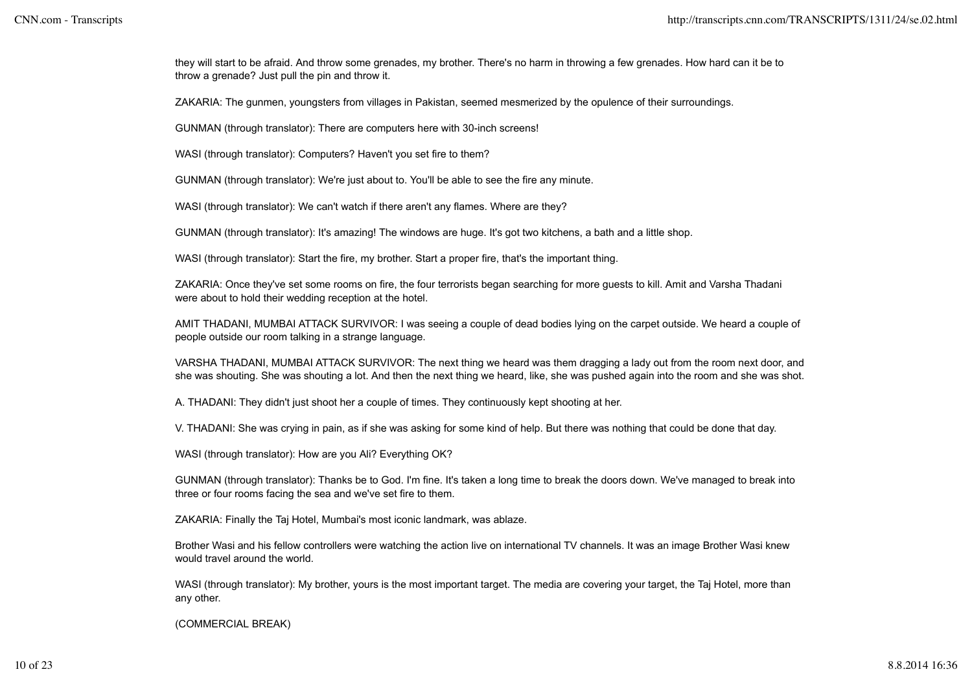they will start to be afraid. And throw some grenades, my brother. There's no harm in throwing a few grenades. How hard can it be to throw a grenade? Just pull the pin and throw it.

ZAKARIA: The gunmen, youngsters from villages in Pakistan, seemed mesmerized by the opulence of their surroundings.

GUNMAN (through translator): There are computers here with 30-inch screens!

WASI (through translator): Computers? Haven't you set fire to them?

GUNMAN (through translator): We're just about to. You'll be able to see the fire any minute.

WASI (through translator): We can't watch if there aren't any flames. Where are they?

GUNMAN (through translator): It's amazing! The windows are huge. It's got two kitchens, a bath and a little shop.

WASI (through translator): Start the fire, my brother. Start a proper fire, that's the important thing.

ZAKARIA: Once they've set some rooms on fire, the four terrorists began searching for more guests to kill. Amit and Varsha Thadani were about to hold their wedding reception at the hotel.

AMIT THADANI, MUMBAI ATTACK SURVIVOR: I was seeing a couple of dead bodies lying on the carpet outside. We heard a couple of people outside our room talking in a strange language.

VARSHA THADANI, MUMBAI ATTACK SURVIVOR: The next thing we heard was them dragging a lady out from the room next door, and she was shouting. She was shouting a lot. And then the next thing we heard, like, she was pushed again into the room and she was shot.

A. THADANI: They didn't just shoot her a couple of times. They continuously kept shooting at her.

V. THADANI: She was crying in pain, as if she was asking for some kind of help. But there was nothing that could be done that day.

WASI (through translator): How are you Ali? Everything OK?

GUNMAN (through translator): Thanks be to God. I'm fine. It's taken a long time to break the doors down. We've managed to break into three or four rooms facing the sea and we've set fire to them.

ZAKARIA: Finally the Taj Hotel, Mumbai's most iconic landmark, was ablaze.

Brother Wasi and his fellow controllers were watching the action live on international TV channels. It was an image Brother Wasi knew would travel around the world.

WASI (through translator): My brother, yours is the most important target. The media are covering your target, the Taj Hotel, more than any other.

(COMMERCIAL BREAK)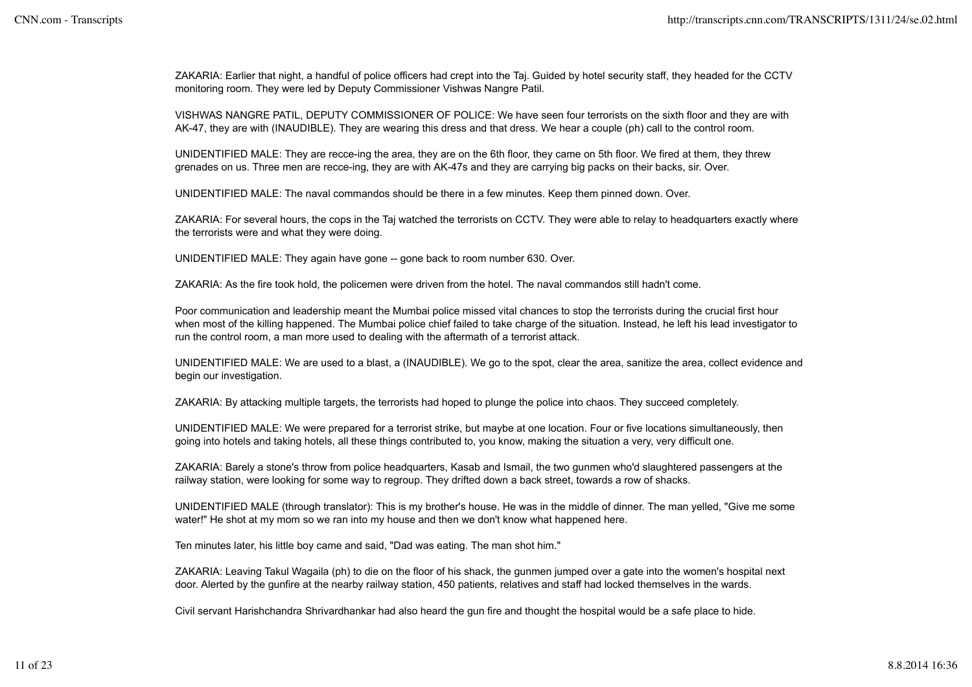ZAKARIA: Earlier that night, a handful of police officers had crept into the Taj. Guided by hotel security staff, they headed for the CCTV monitoring room. They were led by Deputy Commissioner Vishwas Nangre Patil.

VISHWAS NANGRE PATIL, DEPUTY COMMISSIONER OF POLICE: We have seen four terrorists on the sixth floor and they are with AK-47, they are with (INAUDIBLE). They are wearing this dress and that dress. We hear a couple (ph) call to the control room.

UNIDENTIFIED MALE: They are recce-ing the area, they are on the 6th floor, they came on 5th floor. We fired at them, they threw grenades on us. Three men are recce-ing, they are with AK-47s and they are carrying big packs on their backs, sir. Over.

UNIDENTIFIED MALE: The naval commandos should be there in a few minutes. Keep them pinned down. Over.

ZAKARIA: For several hours, the cops in the Taj watched the terrorists on CCTV. They were able to relay to headquarters exactly where the terrorists were and what they were doing.

UNIDENTIFIED MALE: They again have gone -- gone back to room number 630. Over.

ZAKARIA: As the fire took hold, the policemen were driven from the hotel. The naval commandos still hadn't come.

Poor communication and leadership meant the Mumbai police missed vital chances to stop the terrorists during the crucial first hour when most of the killing happened. The Mumbai police chief failed to take charge of the situation. Instead, he left his lead investigator to run the control room, a man more used to dealing with the aftermath of a terrorist attack.

UNIDENTIFIED MALE: We are used to a blast, a (INAUDIBLE). We go to the spot, clear the area, sanitize the area, collect evidence and begin our investigation.

ZAKARIA: By attacking multiple targets, the terrorists had hoped to plunge the police into chaos. They succeed completely.

UNIDENTIFIED MALE: We were prepared for a terrorist strike, but maybe at one location. Four or five locations simultaneously, then going into hotels and taking hotels, all these things contributed to, you know, making the situation a very, very difficult one.

ZAKARIA: Barely a stone's throw from police headquarters, Kasab and Ismail, the two gunmen who'd slaughtered passengers at the railway station, were looking for some way to regroup. They drifted down a back street, towards a row of shacks.

UNIDENTIFIED MALE (through translator): This is my brother's house. He was in the middle of dinner. The man yelled, "Give me some water!" He shot at my mom so we ran into my house and then we don't know what happened here.

Ten minutes later, his little boy came and said, "Dad was eating. The man shot him."

ZAKARIA: Leaving Takul Wagaila (ph) to die on the floor of his shack, the gunmen jumped over a gate into the women's hospital next door. Alerted by the gunfire at the nearby railway station, 450 patients, relatives and staff had locked themselves in the wards.

Civil servant Harishchandra Shrivardhankar had also heard the gun fire and thought the hospital would be a safe place to hide.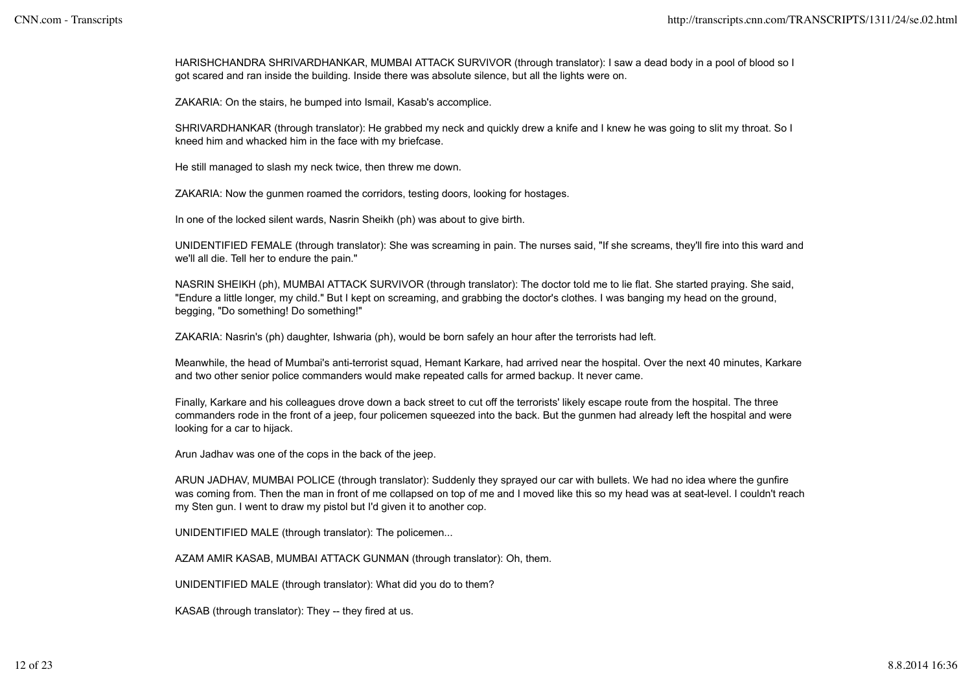HARISHCHANDRA SHRIVARDHANKAR, MUMBAI ATTACK SURVIVOR (through translator): I saw a dead body in a pool of blood so I got scared and ran inside the building. Inside there was absolute silence, but all the lights were on.

ZAKARIA: On the stairs, he bumped into Ismail, Kasab's accomplice.

SHRIVARDHANKAR (through translator): He grabbed my neck and quickly drew a knife and I knew he was going to slit my throat. So I kneed him and whacked him in the face with my briefcase.

He still managed to slash my neck twice, then threw me down.

ZAKARIA: Now the gunmen roamed the corridors, testing doors, looking for hostages.

In one of the locked silent wards, Nasrin Sheikh (ph) was about to give birth.

UNIDENTIFIED FEMALE (through translator): She was screaming in pain. The nurses said, "If she screams, they'll fire into this ward and we'll all die. Tell her to endure the pain."

NASRIN SHEIKH (ph), MUMBAI ATTACK SURVIVOR (through translator): The doctor told me to lie flat. She started praying. She said, "Endure a little longer, my child." But I kept on screaming, and grabbing the doctor's clothes. I was banging my head on the ground, begging, "Do something! Do something!"

ZAKARIA: Nasrin's (ph) daughter, Ishwaria (ph), would be born safely an hour after the terrorists had left.

Meanwhile, the head of Mumbai's anti-terrorist squad, Hemant Karkare, had arrived near the hospital. Over the next 40 minutes, Karkare and two other senior police commanders would make repeated calls for armed backup. It never came.

Finally, Karkare and his colleagues drove down a back street to cut off the terrorists' likely escape route from the hospital. The three commanders rode in the front of a jeep, four policemen squeezed into the back. But the gunmen had already left the hospital and were looking for a car to hijack.

Arun Jadhav was one of the cops in the back of the jeep.

ARUN JADHAV, MUMBAI POLICE (through translator): Suddenly they sprayed our car with bullets. We had no idea where the gunfire was coming from. Then the man in front of me collapsed on top of me and I moved like this so my head was at seat-level. I couldn't reach my Sten gun. I went to draw my pistol but I'd given it to another cop.

UNIDENTIFIED MALE (through translator): The policemen...

AZAM AMIR KASAB, MUMBAI ATTACK GUNMAN (through translator): Oh, them.

UNIDENTIFIED MALE (through translator): What did you do to them?

KASAB (through translator): They -- they fired at us.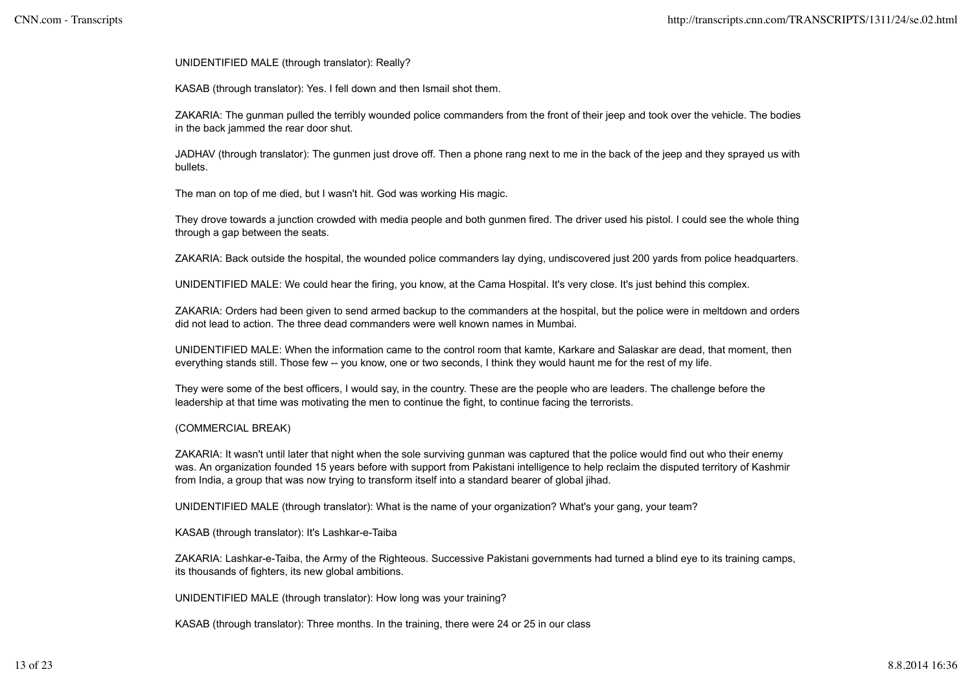UNIDENTIFIED MALE (through translator): Really?

KASAB (through translator): Yes. I fell down and then Ismail shot them.

ZAKARIA: The gunman pulled the terribly wounded police commanders from the front of their jeep and took over the vehicle. The bodies in the back jammed the rear door shut.

JADHAV (through translator): The gunmen just drove off. Then a phone rang next to me in the back of the jeep and they sprayed us with bullets.

The man on top of me died, but I wasn't hit. God was working His magic.

They drove towards a junction crowded with media people and both gunmen fired. The driver used his pistol. I could see the whole thing through a gap between the seats.

ZAKARIA: Back outside the hospital, the wounded police commanders lay dying, undiscovered just 200 yards from police headquarters.

UNIDENTIFIED MALE: We could hear the firing, you know, at the Cama Hospital. It's very close. It's just behind this complex.

ZAKARIA: Orders had been given to send armed backup to the commanders at the hospital, but the police were in meltdown and orders did not lead to action. The three dead commanders were well known names in Mumbai.

UNIDENTIFIED MALE: When the information came to the control room that kamte, Karkare and Salaskar are dead, that moment, then everything stands still. Those few -- you know, one or two seconds, I think they would haunt me for the rest of my life.

They were some of the best officers, I would say, in the country. These are the people who are leaders. The challenge before the leadership at that time was motivating the men to continue the fight, to continue facing the terrorists.

### (COMMERCIAL BREAK)

ZAKARIA: It wasn't until later that night when the sole surviving gunman was captured that the police would find out who their enemy was. An organization founded 15 years before with support from Pakistani intelligence to help reclaim the disputed territory of Kashmir from India, a group that was now trying to transform itself into a standard bearer of global jihad.

UNIDENTIFIED MALE (through translator): What is the name of your organization? What's your gang, your team?

KASAB (through translator): It's Lashkar-e-Taiba

ZAKARIA: Lashkar-e-Taiba, the Army of the Righteous. Successive Pakistani governments had turned a blind eye to its training camps, its thousands of fighters, its new global ambitions.

UNIDENTIFIED MALE (through translator): How long was your training?

KASAB (through translator): Three months. In the training, there were 24 or 25 in our class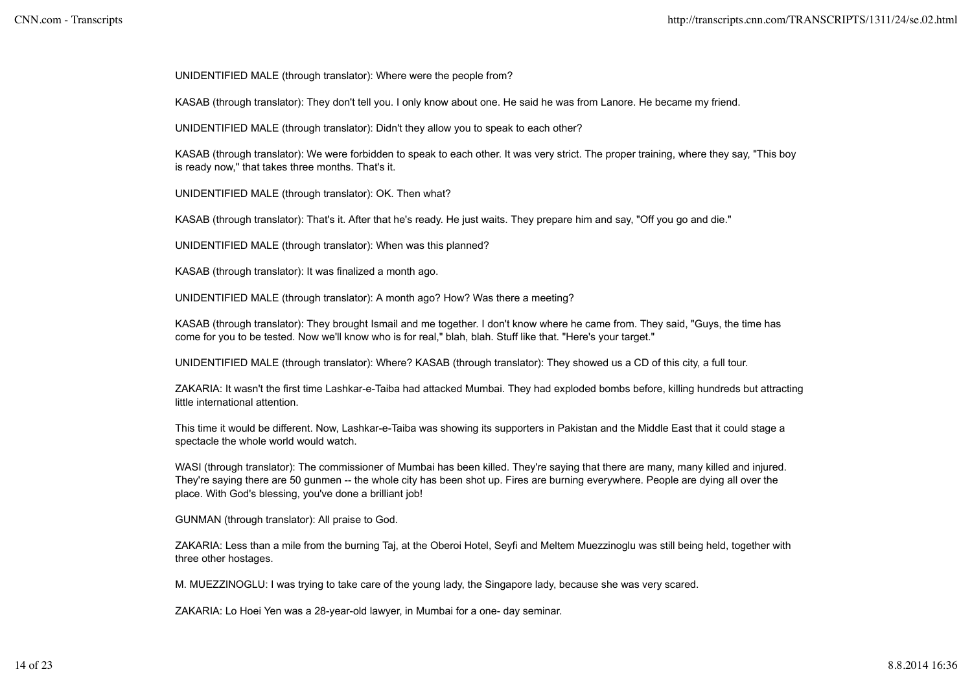UNIDENTIFIED MALE (through translator): Where were the people from?

KASAB (through translator): They don't tell you. I only know about one. He said he was from Lanore. He became my friend.

UNIDENTIFIED MALE (through translator): Didn't they allow you to speak to each other?

KASAB (through translator): We were forbidden to speak to each other. It was very strict. The proper training, where they say, "This boy is ready now," that takes three months. That's it.

UNIDENTIFIED MALE (through translator): OK. Then what?

KASAB (through translator): That's it. After that he's ready. He just waits. They prepare him and say, "Off you go and die."

UNIDENTIFIED MALE (through translator): When was this planned?

KASAB (through translator): It was finalized a month ago.

UNIDENTIFIED MALE (through translator): A month ago? How? Was there a meeting?

KASAB (through translator): They brought Ismail and me together. I don't know where he came from. They said, "Guys, the time has come for you to be tested. Now we'll know who is for real," blah, blah. Stuff like that. "Here's your target."

UNIDENTIFIED MALE (through translator): Where? KASAB (through translator): They showed us a CD of this city, a full tour.

ZAKARIA: It wasn't the first time Lashkar-e-Taiba had attacked Mumbai. They had exploded bombs before, killing hundreds but attracting little international attention.

This time it would be different. Now, Lashkar-e-Taiba was showing its supporters in Pakistan and the Middle East that it could stage a spectacle the whole world would watch.

WASI (through translator): The commissioner of Mumbai has been killed. They're saying that there are many, many killed and injured. They're saying there are 50 gunmen -- the whole city has been shot up. Fires are burning everywhere. People are dying all over the place. With God's blessing, you've done a brilliant job!

GUNMAN (through translator): All praise to God.

ZAKARIA: Less than a mile from the burning Taj, at the Oberoi Hotel, Seyfi and Meltem Muezzinoglu was still being held, together with three other hostages.

M. MUEZZINOGLU: I was trying to take care of the young lady, the Singapore lady, because she was very scared.

ZAKARIA: Lo Hoei Yen was a 28-year-old lawyer, in Mumbai for a one- day seminar.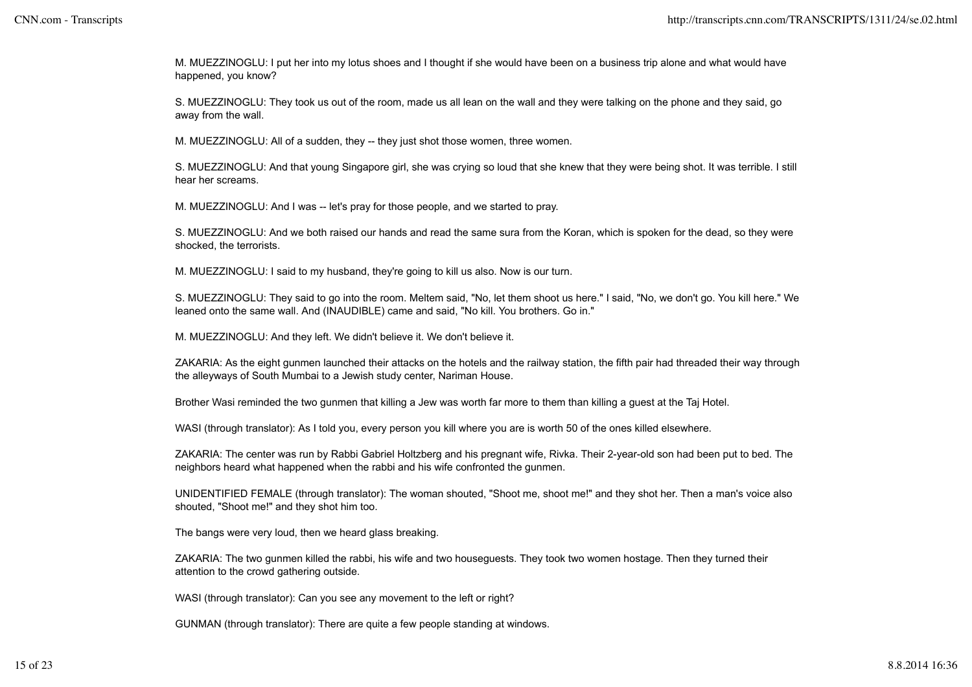M. MUEZZINOGLU: I put her into my lotus shoes and I thought if she would have been on a business trip alone and what would have happened, you know?

S. MUEZZINOGLU: They took us out of the room, made us all lean on the wall and they were talking on the phone and they said, go away from the wall.

M. MUEZZINOGLU: All of a sudden, they -- they just shot those women, three women.

S. MUEZZINOGLU: And that young Singapore girl, she was crying so loud that she knew that they were being shot. It was terrible. I still hear her screams.

M. MUEZZINOGLU: And I was -- let's pray for those people, and we started to pray.

S. MUEZZINOGLU: And we both raised our hands and read the same sura from the Koran, which is spoken for the dead, so they were shocked, the terrorists.

M. MUEZZINOGLU: I said to my husband, they're going to kill us also. Now is our turn.

S. MUEZZINOGLU: They said to go into the room. Meltem said, "No, let them shoot us here." I said, "No, we don't go. You kill here." We leaned onto the same wall. And (INAUDIBLE) came and said, "No kill. You brothers. Go in."

M. MUEZZINOGLU: And they left. We didn't believe it. We don't believe it.

ZAKARIA: As the eight gunmen launched their attacks on the hotels and the railway station, the fifth pair had threaded their way through the alleyways of South Mumbai to a Jewish study center, Nariman House.

Brother Wasi reminded the two gunmen that killing a Jew was worth far more to them than killing a guest at the Taj Hotel.

WASI (through translator): As I told you, every person you kill where you are is worth 50 of the ones killed elsewhere.

ZAKARIA: The center was run by Rabbi Gabriel Holtzberg and his pregnant wife, Rivka. Their 2-year-old son had been put to bed. The neighbors heard what happened when the rabbi and his wife confronted the gunmen.

UNIDENTIFIED FEMALE (through translator): The woman shouted, "Shoot me, shoot me!" and they shot her. Then a man's voice also shouted, "Shoot me!" and they shot him too.

The bangs were very loud, then we heard glass breaking.

ZAKARIA: The two gunmen killed the rabbi, his wife and two houseguests. They took two women hostage. Then they turned their attention to the crowd gathering outside.

WASI (through translator): Can you see any movement to the left or right?

GUNMAN (through translator): There are quite a few people standing at windows.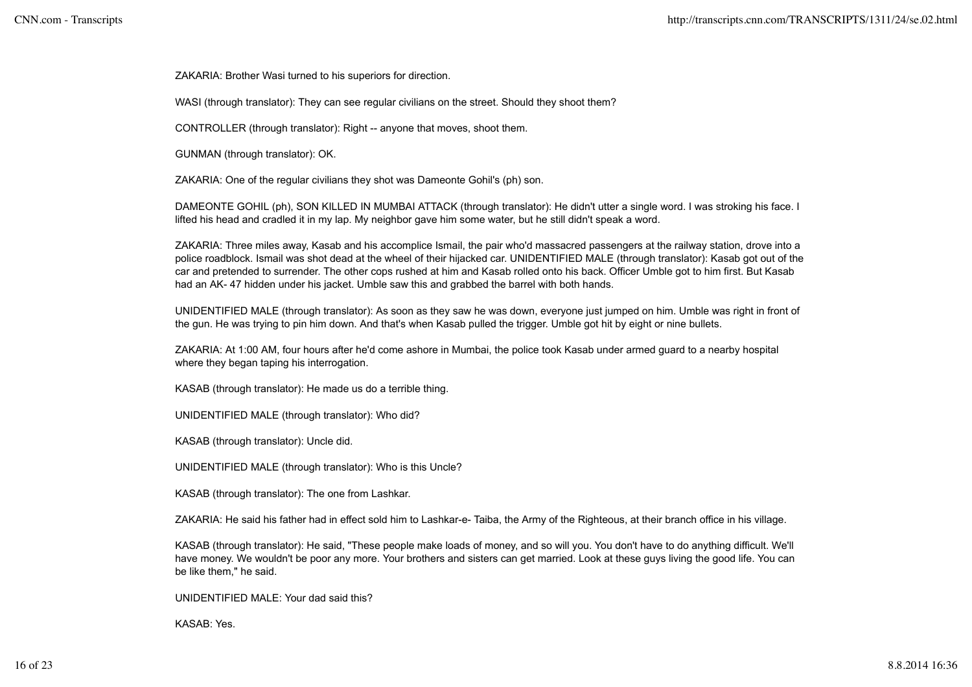ZAKARIA: Brother Wasi turned to his superiors for direction.

WASI (through translator): They can see regular civilians on the street. Should they shoot them?

CONTROLLER (through translator): Right -- anyone that moves, shoot them.

GUNMAN (through translator): OK.

ZAKARIA: One of the regular civilians they shot was Dameonte Gohil's (ph) son.

DAMEONTE GOHIL (ph), SON KILLED IN MUMBAI ATTACK (through translator): He didn't utter a single word. I was stroking his face. I lifted his head and cradled it in my lap. My neighbor gave him some water, but he still didn't speak a word.

ZAKARIA: Three miles away, Kasab and his accomplice Ismail, the pair who'd massacred passengers at the railway station, drove into a police roadblock. Ismail was shot dead at the wheel of their hijacked car. UNIDENTIFIED MALE (through translator): Kasab got out of the car and pretended to surrender. The other cops rushed at him and Kasab rolled onto his back. Officer Umble got to him first. But Kasab had an AK- 47 hidden under his jacket. Umble saw this and grabbed the barrel with both hands.

UNIDENTIFIED MALE (through translator): As soon as they saw he was down, everyone just jumped on him. Umble was right in front of the gun. He was trying to pin him down. And that's when Kasab pulled the trigger. Umble got hit by eight or nine bullets.

ZAKARIA: At 1:00 AM, four hours after he'd come ashore in Mumbai, the police took Kasab under armed guard to a nearby hospital where they began taping his interrogation.

KASAB (through translator): He made us do a terrible thing.

UNIDENTIFIED MALE (through translator): Who did?

KASAB (through translator): Uncle did.

UNIDENTIFIED MALE (through translator): Who is this Uncle?

KASAB (through translator): The one from Lashkar.

ZAKARIA: He said his father had in effect sold him to Lashkar-e- Taiba, the Army of the Righteous, at their branch office in his village.

KASAB (through translator): He said, "These people make loads of money, and so will you. You don't have to do anything difficult. We'll have money. We wouldn't be poor any more. Your brothers and sisters can get married. Look at these guys living the good life. You can be like them," he said.

UNIDENTIFIED MALE: Your dad said this?

KASAB: Yes.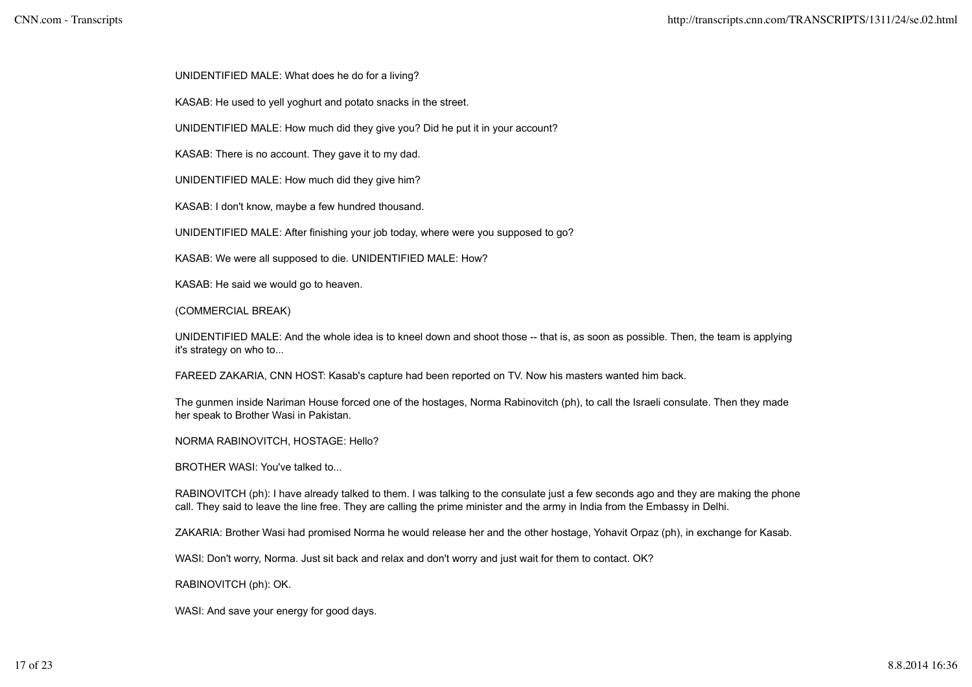UNIDENTIFIED MALE: What does he do for a living?

KASAB: He used to yell yoghurt and potato snacks in the street.

UNIDENTIFIED MALE: How much did they give you? Did he put it in your account?

KASAB: There is no account. They gave it to my dad.

UNIDENTIFIED MALE: How much did they give him?

KASAB: I don't know, maybe a few hundred thousand.

UNIDENTIFIED MALE: After finishing your job today, where were you supposed to go?

KASAB: We were all supposed to die. UNIDENTIFIED MALE: How?

KASAB: He said we would go to heaven.

(COMMERCIAL BREAK)

UNIDENTIFIED MALE: And the whole idea is to kneel down and shoot those -- that is, as soon as possible. Then, the team is applying it's strategy on who to...

FAREED ZAKARIA, CNN HOST: Kasab's capture had been reported on TV. Now his masters wanted him back.

The gunmen inside Nariman House forced one of the hostages, Norma Rabinovitch (ph), to call the Israeli consulate. Then they made her speak to Brother Wasi in Pakistan.

NORMA RABINOVITCH, HOSTAGE: Hello?

BROTHER WASI: You've talked to...

RABINOVITCH (ph): I have already talked to them. I was talking to the consulate just a few seconds ago and they are making the phone call. They said to leave the line free. They are calling the prime minister and the army in India from the Embassy in Delhi.

ZAKARIA: Brother Wasi had promised Norma he would release her and the other hostage, Yohavit Orpaz (ph), in exchange for Kasab.

WASI: Don't worry, Norma. Just sit back and relax and don't worry and just wait for them to contact. OK?

RABINOVITCH (ph): OK.

WASI: And save your energy for good days.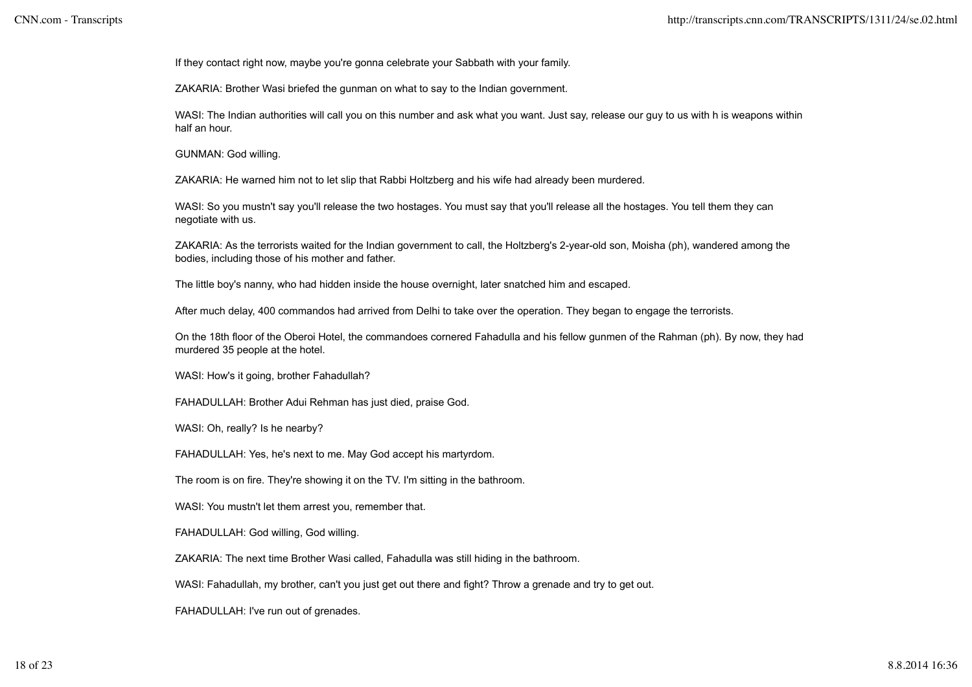If they contact right now, maybe you're gonna celebrate your Sabbath with your family.

ZAKARIA: Brother Wasi briefed the gunman on what to say to the Indian government.

WASI: The Indian authorities will call you on this number and ask what you want. Just say, release our guy to us with h is weapons within half an hour.

GUNMAN: God willing.

ZAKARIA: He warned him not to let slip that Rabbi Holtzberg and his wife had already been murdered.

WASI: So you mustn't say you'll release the two hostages. You must say that you'll release all the hostages. You tell them they can negotiate with us.

ZAKARIA: As the terrorists waited for the Indian government to call, the Holtzberg's 2-year-old son, Moisha (ph), wandered among the bodies, including those of his mother and father.

The little boy's nanny, who had hidden inside the house overnight, later snatched him and escaped.

After much delay, 400 commandos had arrived from Delhi to take over the operation. They began to engage the terrorists.

On the 18th floor of the Oberoi Hotel, the commandoes cornered Fahadulla and his fellow gunmen of the Rahman (ph). By now, they had murdered 35 people at the hotel.

WASI: How's it going, brother Fahadullah?

FAHADULLAH: Brother Adui Rehman has just died, praise God.

WASI: Oh, really? Is he nearby?

FAHADULLAH: Yes, he's next to me. May God accept his martyrdom.

The room is on fire. They're showing it on the TV. I'm sitting in the bathroom.

WASI: You mustn't let them arrest you, remember that.

FAHADULLAH: God willing, God willing.

ZAKARIA: The next time Brother Wasi called, Fahadulla was still hiding in the bathroom.

WASI: Fahadullah, my brother, can't you just get out there and fight? Throw a grenade and try to get out.

FAHADULLAH: I've run out of grenades.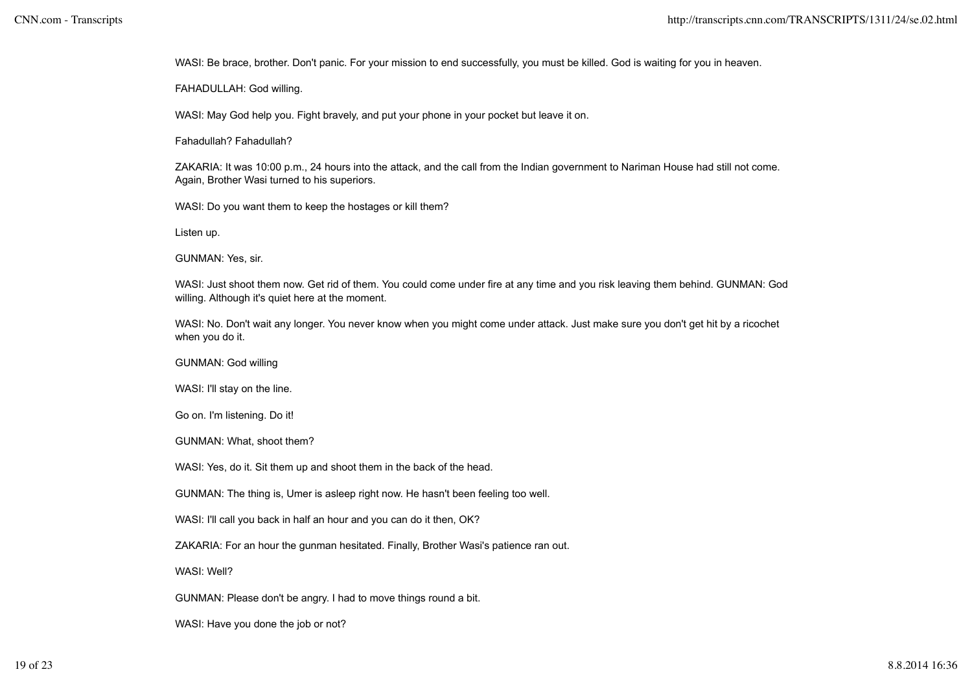WASI: Be brace, brother. Don't panic. For your mission to end successfully, you must be killed. God is waiting for you in heaven.

FAHADULLAH: God willing.

WASI: May God help you. Fight bravely, and put your phone in your pocket but leave it on.

Fahadullah? Fahadullah?

ZAKARIA: It was 10:00 p.m., 24 hours into the attack, and the call from the Indian government to Nariman House had still not come. Again, Brother Wasi turned to his superiors.

WASI: Do you want them to keep the hostages or kill them?

Listen up.

GUNMAN: Yes, sir.

WASI: Just shoot them now. Get rid of them. You could come under fire at any time and you risk leaving them behind. GUNMAN: God willing. Although it's quiet here at the moment.

WASI: No. Don't wait any longer. You never know when you might come under attack. Just make sure you don't get hit by a ricochet when you do it.

GUNMAN: God willing

WASI: I'll stay on the line.

Go on. I'm listening. Do it!

GUNMAN: What, shoot them?

WASI: Yes, do it. Sit them up and shoot them in the back of the head.

GUNMAN: The thing is, Umer is asleep right now. He hasn't been feeling too well.

WASI: I'll call you back in half an hour and you can do it then, OK?

ZAKARIA: For an hour the gunman hesitated. Finally, Brother Wasi's patience ran out.

WASI: Well?

GUNMAN: Please don't be angry. I had to move things round a bit.

WASI: Have you done the job or not?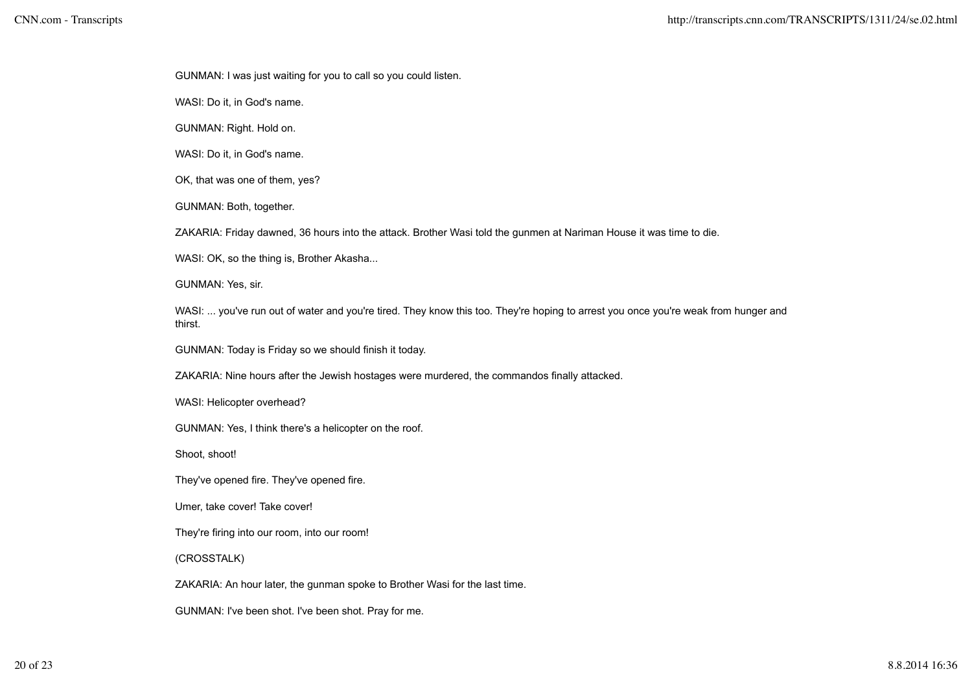GUNMAN: I was just waiting for you to call so you could listen.

WASI: Do it, in God's name.

GUNMAN: Right. Hold on.

WASI: Do it, in God's name.

OK, that was one of them, yes?

GUNMAN: Both, together.

ZAKARIA: Friday dawned, 36 hours into the attack. Brother Wasi told the gunmen at Nariman House it was time to die.

WASI: OK, so the thing is, Brother Akasha...

GUNMAN: Yes, sir.

WASI: ... you've run out of water and you're tired. They know this too. They're hoping to arrest you once you're weak from hunger and thirst.

GUNMAN: Today is Friday so we should finish it today.

ZAKARIA: Nine hours after the Jewish hostages were murdered, the commandos finally attacked.

WASI: Helicopter overhead?

GUNMAN: Yes, I think there's a helicopter on the roof.

Shoot, shoot!

They've opened fire. They've opened fire.

Umer, take cover! Take cover!

They're firing into our room, into our room!

(CROSSTALK)

ZAKARIA: An hour later, the gunman spoke to Brother Wasi for the last time.

GUNMAN: I've been shot. I've been shot. Pray for me.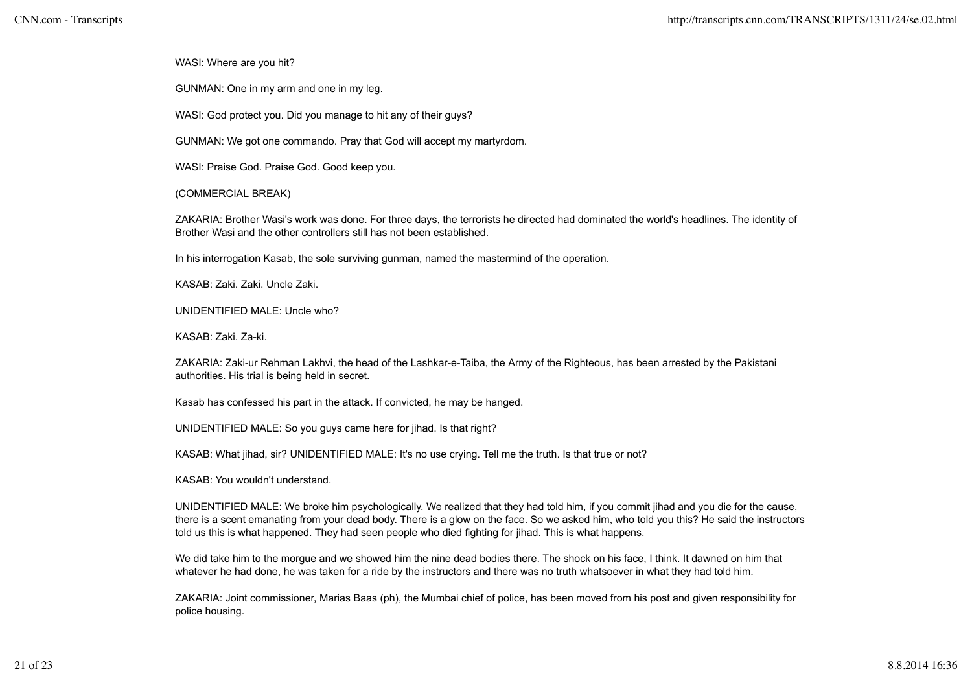WASI: Where are you hit?

GUNMAN: One in my arm and one in my leg.

WASI: God protect you. Did you manage to hit any of their guys?

GUNMAN: We got one commando. Pray that God will accept my martyrdom.

WASI: Praise God. Praise God. Good keep you.

(COMMERCIAL BREAK)

ZAKARIA: Brother Wasi's work was done. For three days, the terrorists he directed had dominated the world's headlines. The identity of Brother Wasi and the other controllers still has not been established.

In his interrogation Kasab, the sole surviving gunman, named the mastermind of the operation.

KASAB: Zaki. Zaki. Uncle Zaki.

UNIDENTIFIED MALE: Uncle who?

KASAB: Zaki. Za-ki.

ZAKARIA: Zaki-ur Rehman Lakhvi, the head of the Lashkar-e-Taiba, the Army of the Righteous, has been arrested by the Pakistani authorities. His trial is being held in secret.

Kasab has confessed his part in the attack. If convicted, he may be hanged.

UNIDENTIFIED MALE: So you guys came here for jihad. Is that right?

KASAB: What jihad, sir? UNIDENTIFIED MALE: It's no use crying. Tell me the truth. Is that true or not?

KASAB: You wouldn't understand.

UNIDENTIFIED MALE: We broke him psychologically. We realized that they had told him, if you commit jihad and you die for the cause, there is a scent emanating from your dead body. There is a glow on the face. So we asked him, who told you this? He said the instructors told us this is what happened. They had seen people who died fighting for jihad. This is what happens.

We did take him to the morgue and we showed him the nine dead bodies there. The shock on his face, I think. It dawned on him that whatever he had done, he was taken for a ride by the instructors and there was no truth whatsoever in what they had told him.

ZAKARIA: Joint commissioner, Marias Baas (ph), the Mumbai chief of police, has been moved from his post and given responsibility for police housing.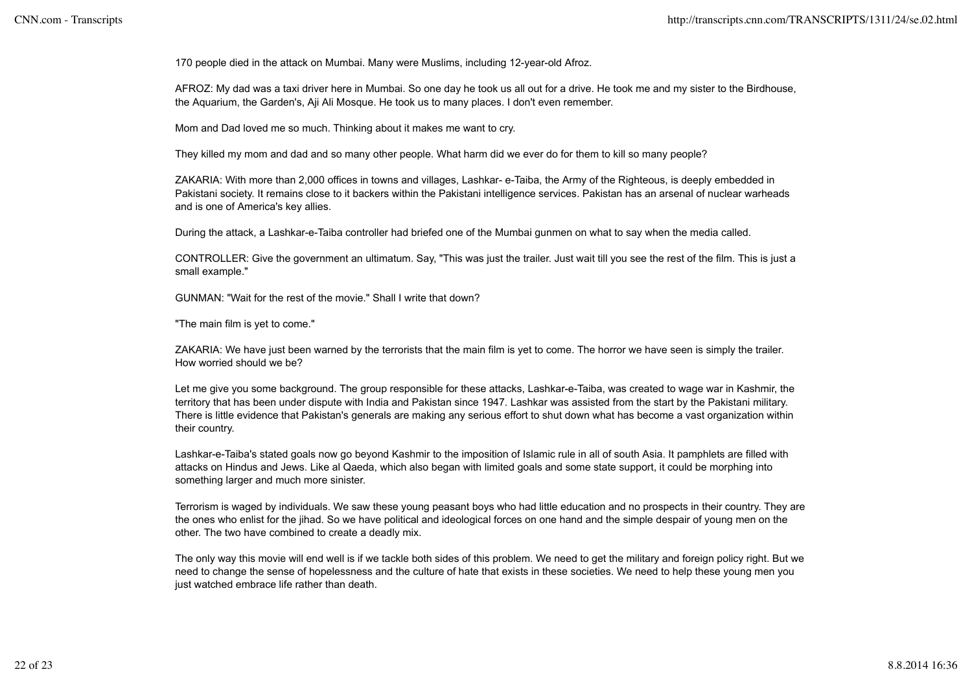170 people died in the attack on Mumbai. Many were Muslims, including 12-year-old Afroz.

AFROZ: My dad was a taxi driver here in Mumbai. So one day he took us all out for a drive. He took me and my sister to the Birdhouse, the Aquarium, the Garden's, Aji Ali Mosque. He took us to many places. I don't even remember.

Mom and Dad loved me so much. Thinking about it makes me want to cry.

They killed my mom and dad and so many other people. What harm did we ever do for them to kill so many people?

ZAKARIA: With more than 2,000 offices in towns and villages, Lashkar- e-Taiba, the Army of the Righteous, is deeply embedded in Pakistani society. It remains close to it backers within the Pakistani intelligence services. Pakistan has an arsenal of nuclear warheads and is one of America's key allies.

During the attack, a Lashkar-e-Taiba controller had briefed one of the Mumbai gunmen on what to say when the media called.

CONTROLLER: Give the government an ultimatum. Say, "This was just the trailer. Just wait till you see the rest of the film. This is just a small example."

GUNMAN: "Wait for the rest of the movie." Shall I write that down?

"The main film is yet to come."

ZAKARIA: We have just been warned by the terrorists that the main film is yet to come. The horror we have seen is simply the trailer. How worried should we be?

Let me give you some background. The group responsible for these attacks, Lashkar-e-Taiba, was created to wage war in Kashmir, the territory that has been under dispute with India and Pakistan since 1947. Lashkar was assisted from the start by the Pakistani military. There is little evidence that Pakistan's generals are making any serious effort to shut down what has become a vast organization within their country.

Lashkar-e-Taiba's stated goals now go beyond Kashmir to the imposition of Islamic rule in all of south Asia. It pamphlets are filled with attacks on Hindus and Jews. Like al Qaeda, which also began with limited goals and some state support, it could be morphing into something larger and much more sinister.

Terrorism is waged by individuals. We saw these young peasant boys who had little education and no prospects in their country. They are the ones who enlist for the jihad. So we have political and ideological forces on one hand and the simple despair of young men on the other. The two have combined to create a deadly mix.

The only way this movie will end well is if we tackle both sides of this problem. We need to get the military and foreign policy right. But we need to change the sense of hopelessness and the culture of hate that exists in these societies. We need to help these young men you just watched embrace life rather than death.